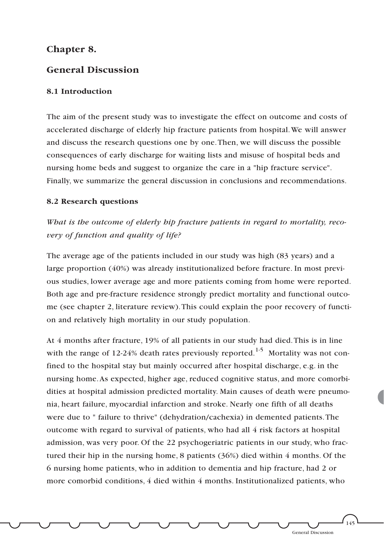### **Chapter 8.**

### **General Discussion**

### **8.1 Introduction**

The aim of the present study was to investigate the effect on outcome and costs of accelerated discharge of elderly hip fracture patients from hospital.We will answer and discuss the research questions one by one.Then, we will discuss the possible consequences of early discharge for waiting lists and misuse of hospital beds and nursing home beds and suggest to organize the care in a "hip fracture service". Finally, we summarize the general discussion in conclusions and recommendations.

#### **8.2 Research questions**

# *What is the outcome of elderly hip fracture patients in regard to mortality, recovery of function and quality of life?*

The average age of the patients included in our study was high (83 years) and a large proportion (40%) was already institutionalized before fracture. In most previous studies, lower average age and more patients coming from home were reported. Both age and pre-fracture residence strongly predict mortality and functional outcome (see chapter 2, literature review).This could explain the poor recovery of function and relatively high mortality in our study population.

At 4 months after fracture, 19% of all patients in our study had died.This is in line with the range of 12-24% death rates previously reported.<sup>1-5</sup> Mortality was not confined to the hospital stay but mainly occurred after hospital discharge, e.g. in the nursing home.As expected, higher age, reduced cognitive status, and more comorbidities at hospital admission predicted mortality. Main causes of death were pneumonia, heart failure, myocardial infarction and stroke. Nearly one fifth of all deaths were due to " failure to thrive" (dehydration/cachexia) in demented patients.The outcome with regard to survival of patients, who had all 4 risk factors at hospital admission, was very poor. Of the 22 psychogeriatric patients in our study, who fractured their hip in the nursing home, 8 patients (36%) died within 4 months. Of the 6 nursing home patients, who in addition to dementia and hip fracture, had 2 or more comorbid conditions, 4 died within 4 months. Institutionalized patients, who

145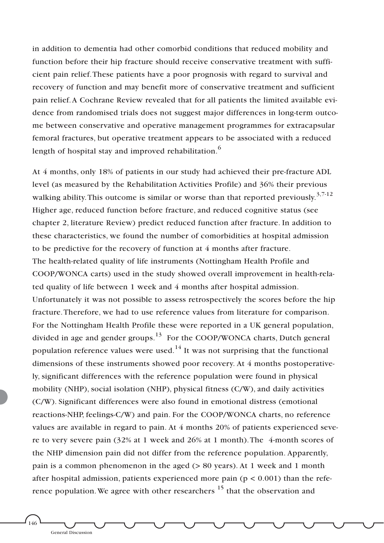in addition to dementia had other comorbid conditions that reduced mobility and function before their hip fracture should receive conservative treatment with sufficient pain relief.These patients have a poor prognosis with regard to survival and recovery of function and may benefit more of conservative treatment and sufficient pain relief.A Cochrane Review revealed that for all patients the limited available evidence from randomised trials does not suggest major differences in long-term outcome between conservative and operative management programmes for extracapsular femoral fractures, but operative treatment appears to be associated with a reduced length of hospital stay and improved rehabilitation.<sup>6</sup>

At 4 months, only 18% of patients in our study had achieved their pre-fracture ADL level (as measured by the Rehabilitation Activities Profile) and 36% their previous walking ability. This outcome is similar or worse than that reported previously.<sup>3,7-12</sup> Higher age, reduced function before fracture, and reduced cognitive status (see chapter 2, literature Review) predict reduced function after fracture. In addition to these characteristics, we found the number of comorbidities at hospital admission to be predictive for the recovery of function at 4 months after fracture. The health-related quality of life instruments (Nottingham Health Profile and COOP/WONCA carts) used in the study showed overall improvement in health-related quality of life between 1 week and 4 months after hospital admission. Unfortunately it was not possible to assess retrospectively the scores before the hip fracture.Therefore, we had to use reference values from literature for comparison. For the Nottingham Health Profile these were reported in a UK general population, divided in age and gender groups.<sup>13</sup> For the COOP/WONCA charts, Dutch general population reference values were used.<sup>14</sup> It was not surprising that the functional dimensions of these instruments showed poor recovery. At 4 months postoperatively, significant differences with the reference population were found in physical mobility (NHP), social isolation (NHP), physical fitness (C/W), and daily activities (C/W). Significant differences were also found in emotional distress (emotional reactions-NHP, feelings-C/W) and pain. For the COOP/WONCA charts, no reference values are available in regard to pain. At 4 months 20% of patients experienced severe to very severe pain (32% at 1 week and 26% at 1 month).The 4-month scores of the NHP dimension pain did not differ from the reference population. Apparently, pain is a common phenomenon in the aged (> 80 years). At 1 week and 1 month after hospital admission, patients experienced more pain ( $p < 0.001$ ) than the reference population. We agree with other researchers  $15$  that the observation and

.<br>146 General Discussion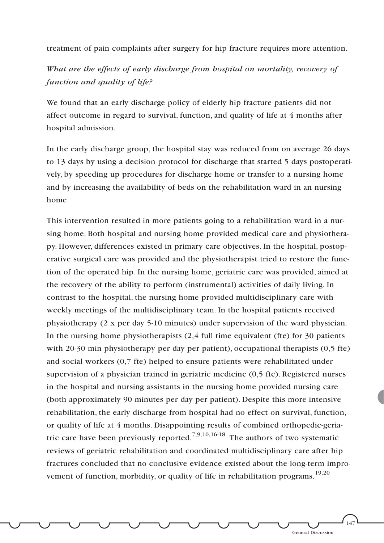treatment of pain complaints after surgery for hip fracture requires more attention.

# *What are the effects of early discharge from hospital on mortality, recovery of function and quality of life?*

We found that an early discharge policy of elderly hip fracture patients did not affect outcome in regard to survival, function, and quality of life at 4 months after hospital admission.

In the early discharge group, the hospital stay was reduced from on average 26 days to 13 days by using a decision protocol for discharge that started 5 days postoperatively, by speeding up procedures for discharge home or transfer to a nursing home and by increasing the availability of beds on the rehabilitation ward in an nursing home.

This intervention resulted in more patients going to a rehabilitation ward in a nursing home. Both hospital and nursing home provided medical care and physiotherapy. However, differences existed in primary care objectives. In the hospital, postoperative surgical care was provided and the physiotherapist tried to restore the function of the operated hip. In the nursing home, geriatric care was provided, aimed at the recovery of the ability to perform (instrumental) activities of daily living. In contrast to the hospital, the nursing home provided multidisciplinary care with weekly meetings of the multidisciplinary team. In the hospital patients received physiotherapy (2 x per day 5-10 minutes) under supervision of the ward physician. In the nursing home physiotherapists  $(2, 4$  full time equivalent (fte) for 30 patients with 20-30 min physiotherapy per day per patient), occupational therapists (0,5 fte) and social workers (0,7 fte) helped to ensure patients were rehabilitated under supervision of a physician trained in geriatric medicine (0,5 fte). Registered nurses in the hospital and nursing assistants in the nursing home provided nursing care (both approximately 90 minutes per day per patient). Despite this more intensive rehabilitation, the early discharge from hospital had no effect on survival, function, or quality of life at 4 months. Disappointing results of combined orthopedic-geriatric care have been previously reported.<sup>7,9,10,16-18</sup> The authors of two systematic reviews of geriatric rehabilitation and coordinated multidisciplinary care after hip fractures concluded that no conclusive evidence existed about the long-term improvement of function, morbidity, or quality of life in rehabilitation programs.<sup>19,20</sup>

147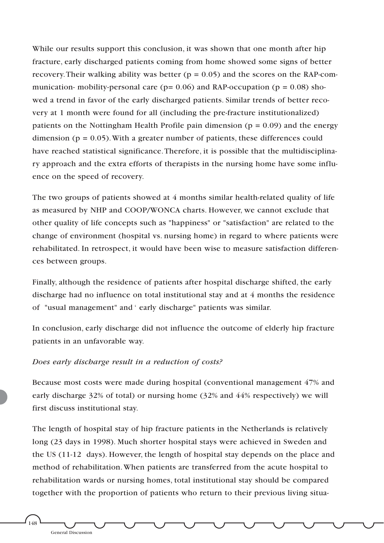While our results support this conclusion, it was shown that one month after hip fracture, early discharged patients coming from home showed some signs of better recovery. Their walking ability was better ( $p = 0.05$ ) and the scores on the RAP-communication- mobility-personal care ( $p= 0.06$ ) and RAP-occupation ( $p = 0.08$ ) showed a trend in favor of the early discharged patients. Similar trends of better recovery at 1 month were found for all (including the pre-fracture institutionalized) patients on the Nottingham Health Profile pain dimension ( $p = 0.09$ ) and the energy dimension ( $p = 0.05$ ). With a greater number of patients, these differences could have reached statistical significance.Therefore, it is possible that the multidisciplinary approach and the extra efforts of therapists in the nursing home have some influence on the speed of recovery.

The two groups of patients showed at 4 months similar health-related quality of life as measured by NHP and COOP/WONCA charts. However, we cannot exclude that other quality of life concepts such as "happiness" or "satisfaction" are related to the change of environment (hospital vs. nursing home) in regard to where patients were rehabilitated. In retrospect, it would have been wise to measure satisfaction differences between groups.

Finally, although the residence of patients after hospital discharge shifted, the early discharge had no influence on total institutional stay and at 4 months the residence of "usual management" and ' early discharge" patients was similar.

In conclusion, early discharge did not influence the outcome of elderly hip fracture patients in an unfavorable way.

#### *Does early discharge result in a reduction of costs?*

Because most costs were made during hospital (conventional management 47% and early discharge 32% of total) or nursing home (32% and 44% respectively) we will first discuss institutional stay.

The length of hospital stay of hip fracture patients in the Netherlands is relatively long (23 days in 1998). Much shorter hospital stays were achieved in Sweden and the US (11-12 days). However, the length of hospital stay depends on the place and method of rehabilitation.When patients are transferred from the acute hospital to rehabilitation wards or nursing homes, total institutional stay should be compared together with the proportion of patients who return to their previous living situa-

148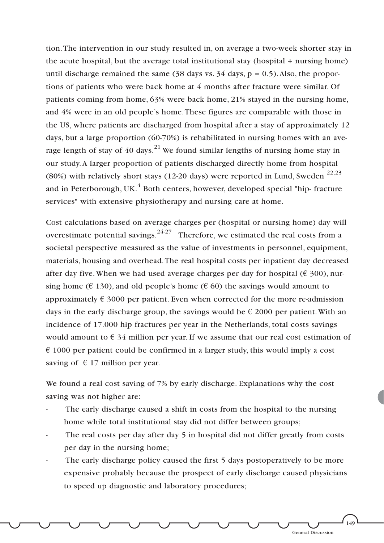tion.The intervention in our study resulted in, on average a two-week shorter stay in the acute hospital, but the average total institutional stay (hospital + nursing home) until discharge remained the same  $(38 \text{ days vs. } 34 \text{ days}, p = 0.5)$ . Also, the proportions of patients who were back home at 4 months after fracture were similar. Of patients coming from home, 63% were back home, 21% stayed in the nursing home, and 4% were in an old people's home.These figures are comparable with those in the US, where patients are discharged from hospital after a stay of approximately 12 days, but a large proportion (60-70%) is rehabilitated in nursing homes with an average length of stay of 40 days.<sup>21</sup> We found similar lengths of nursing home stay in our study.A larger proportion of patients discharged directly home from hospital (80%) with relatively short stays (12-20 days) were reported in Lund, Sweden  $^{22,23}$ and in Peterborough, UK. $4$  Both centers, however, developed special "hip-fracture" services" with extensive physiotherapy and nursing care at home.

Cost calculations based on average charges per (hospital or nursing home) day will overestimate potential savings.<sup>24-27</sup> Therefore, we estimated the real costs from a societal perspective measured as the value of investments in personnel, equipment, materials, housing and overhead.The real hospital costs per inpatient day decreased after day five. When we had used average charges per day for hospital ( $\epsilon$  300), nursing home ( $\in$  130), and old people's home ( $\in$  60) the savings would amount to approximately  $\epsilon$  3000 per patient. Even when corrected for the more re-admission days in the early discharge group, the savings would be  $\epsilon$  2000 per patient. With an incidence of 17.000 hip fractures per year in the Netherlands, total costs savings would amount to  $\epsilon$  34 million per year. If we assume that our real cost estimation of  $\epsilon$  1000 per patient could be confirmed in a larger study, this would imply a cost saving of  $\epsilon$  17 million per year.

We found a real cost saving of 7% by early discharge. Explanations why the cost saving was not higher are:

- The early discharge caused a shift in costs from the hospital to the nursing home while total institutional stay did not differ between groups;
- The real costs per day after day 5 in hospital did not differ greatly from costs per day in the nursing home;
- The early discharge policy caused the first 5 days postoperatively to be more expensive probably because the prospect of early discharge caused physicians to speed up diagnostic and laboratory procedures;

149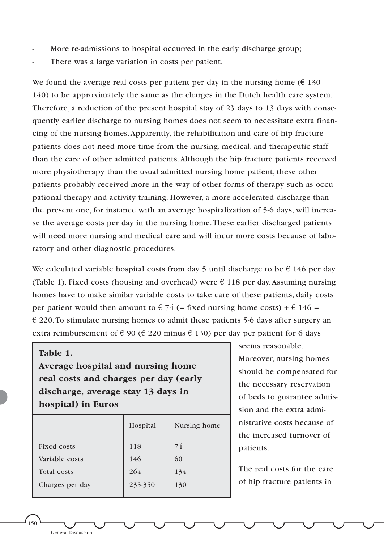- More re-admissions to hospital occurred in the early discharge group;
- There was a large variation in costs per patient.

We found the average real costs per patient per day in the nursing home  $(6\ 130$ -140) to be approximately the same as the charges in the Dutch health care system. Therefore, a reduction of the present hospital stay of 23 days to 13 days with consequently earlier discharge to nursing homes does not seem to necessitate extra financing of the nursing homes.Apparently, the rehabilitation and care of hip fracture patients does not need more time from the nursing, medical, and therapeutic staff than the care of other admitted patients.Although the hip fracture patients received more physiotherapy than the usual admitted nursing home patient, these other patients probably received more in the way of other forms of therapy such as occupational therapy and activity training. However, a more accelerated discharge than the present one, for instance with an average hospitalization of 5-6 days, will increase the average costs per day in the nursing home.These earlier discharged patients will need more nursing and medical care and will incur more costs because of laboratory and other diagnostic procedures.

We calculated variable hospital costs from day 5 until discharge to be  $\epsilon$  146 per day (Table 1). Fixed costs (housing and overhead) were  $\epsilon$  118 per day. Assuming nursing homes have to make similar variable costs to take care of these patients, daily costs per patient would then amount to  $\epsilon$  74 (= fixed nursing home costs) +  $\epsilon$  146 = € 220.To stimulate nursing homes to admit these patients 5-6 days after surgery an extra reimbursement of  $\epsilon$  90 ( $\epsilon$  220 minus  $\epsilon$  130) per day per patient for 6 days

#### **Table 1.**

**Average hospital and nursing home real costs and charges per day (early discharge, average stay 13 days in hospital) in Euros**

|                    | Hospital | Nursing home |
|--------------------|----------|--------------|
| <b>Fixed costs</b> | 118      | 74           |
| Variable costs     | 146      | 60           |
| <b>Total costs</b> | 264      | 134          |
| Charges per day    | 235-350  | 130          |
|                    |          |              |

seems reasonable. Moreover, nursing homes should be compensated for the necessary reservation of beds to guarantee admission and the extra administrative costs because of the increased turnover of patients.

The real costs for the care of hip fracture patients in

150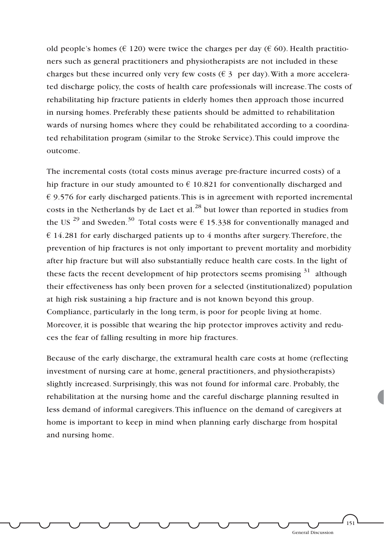old people's homes ( $\in$  120) were twice the charges per day ( $\in$  60). Health practitioners such as general practitioners and physiotherapists are not included in these charges but these incurred only very few costs ( $\epsilon$  3 per day). With a more accelerated discharge policy, the costs of health care professionals will increase.The costs of rehabilitating hip fracture patients in elderly homes then approach those incurred in nursing homes. Preferably these patients should be admitted to rehabilitation wards of nursing homes where they could be rehabilitated according to a coordinated rehabilitation program (similar to the Stroke Service).This could improve the outcome.

The incremental costs (total costs minus average pre-fracture incurred costs) of a hip fracture in our study amounted to  $\epsilon$  10.821 for conventionally discharged and  $\epsilon$  9.576 for early discharged patients. This is in agreement with reported incremental costs in the Netherlands by de Laet et al.<sup>28</sup> but lower than reported in studies from the US<sup>29</sup> and Sweden.<sup>30</sup> Total costs were  $\epsilon$  15.338 for conventionally managed and  $\epsilon$  14.281 for early discharged patients up to 4 months after surgery. Therefore, the prevention of hip fractures is not only important to prevent mortality and morbidity after hip fracture but will also substantially reduce health care costs. In the light of these facts the recent development of hip protectors seems promising  $31$  although their effectiveness has only been proven for a selected (institutionalized) population at high risk sustaining a hip fracture and is not known beyond this group. Compliance, particularly in the long term, is poor for people living at home. Moreover, it is possible that wearing the hip protector improves activity and reduces the fear of falling resulting in more hip fractures.

Because of the early discharge, the extramural health care costs at home (reflecting investment of nursing care at home, general practitioners, and physiotherapists) slightly increased. Surprisingly, this was not found for informal care. Probably, the rehabilitation at the nursing home and the careful discharge planning resulted in less demand of informal caregivers.This influence on the demand of caregivers at home is important to keep in mind when planning early discharge from hospital and nursing home.

General Discussion

151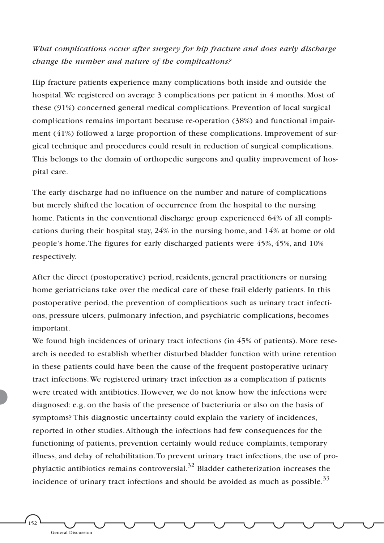## *What complications occur after surgery for hip fracture and does early discharge change the number and nature of the complications?*

Hip fracture patients experience many complications both inside and outside the hospital.We registered on average 3 complications per patient in 4 months. Most of these (91%) concerned general medical complications. Prevention of local surgical complications remains important because re-operation (38%) and functional impairment (41%) followed a large proportion of these complications. Improvement of surgical technique and procedures could result in reduction of surgical complications. This belongs to the domain of orthopedic surgeons and quality improvement of hospital care.

The early discharge had no influence on the number and nature of complications but merely shifted the location of occurrence from the hospital to the nursing home. Patients in the conventional discharge group experienced 64% of all complications during their hospital stay, 24% in the nursing home, and 14% at home or old people's home.The figures for early discharged patients were 45%, 45%, and 10% respectively.

After the direct (postoperative) period, residents, general practitioners or nursing home geriatricians take over the medical care of these frail elderly patients. In this postoperative period, the prevention of complications such as urinary tract infections, pressure ulcers, pulmonary infection, and psychiatric complications, becomes important.

We found high incidences of urinary tract infections (in 45% of patients). More research is needed to establish whether disturbed bladder function with urine retention in these patients could have been the cause of the frequent postoperative urinary tract infections.We registered urinary tract infection as a complication if patients were treated with antibiotics. However, we do not know how the infections were diagnosed: e.g. on the basis of the presence of bacteriuria or also on the basis of symptoms? This diagnostic uncertainty could explain the variety of incidences, reported in other studies.Although the infections had few consequences for the functioning of patients, prevention certainly would reduce complaints, temporary illness, and delay of rehabilitation.To prevent urinary tract infections, the use of prophylactic antibiotics remains controversial.<sup>32</sup> Bladder catheterization increases the incidence of urinary tract infections and should be avoided as much as possible. $33$ 

152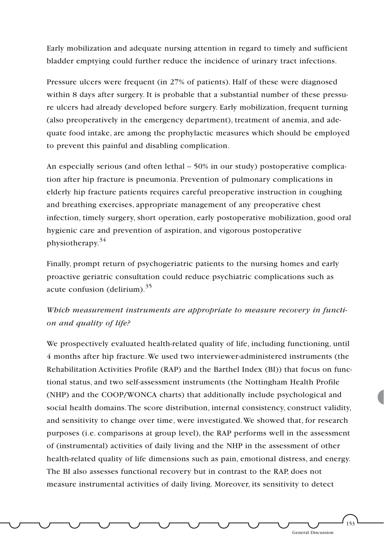Early mobilization and adequate nursing attention in regard to timely and sufficient bladder emptying could further reduce the incidence of urinary tract infections.

Pressure ulcers were frequent (in 27% of patients). Half of these were diagnosed within 8 days after surgery. It is probable that a substantial number of these pressure ulcers had already developed before surgery. Early mobilization, frequent turning (also preoperatively in the emergency department), treatment of anemia, and adequate food intake, are among the prophylactic measures which should be employed to prevent this painful and disabling complication.

An especially serious (and often lethal  $-50\%$  in our study) postoperative complication after hip fracture is pneumonia. Prevention of pulmonary complications in elderly hip fracture patients requires careful preoperative instruction in coughing and breathing exercises, appropriate management of any preoperative chest infection, timely surgery, short operation, early postoperative mobilization, good oral hygienic care and prevention of aspiration, and vigorous postoperative physiotherapy.<sup>34</sup>

Finally, prompt return of psychogeriatric patients to the nursing homes and early proactive geriatric consultation could reduce psychiatric complications such as acute confusion (delirium). $35$ 

# *Which measurement instruments are appropriate to measure recovery in function and quality of life?*

We prospectively evaluated health-related quality of life, including functioning, until 4 months after hip fracture.We used two interviewer-administered instruments (the Rehabilitation Activities Profile (RAP) and the Barthel Index (BI)) that focus on functional status, and two self-assessment instruments (the Nottingham Health Profile (NHP) and the COOP/WONCA charts) that additionally include psychological and social health domains.The score distribution, internal consistency, construct validity, and sensitivity to change over time, were investigated.We showed that, for research purposes (i.e. comparisons at group level), the RAP performs well in the assessment of (instrumental) activities of daily living and the NHP in the assessment of other health-related quality of life dimensions such as pain, emotional distress, and energy. The BI also assesses functional recovery but in contrast to the RAP, does not measure instrumental activities of daily living. Moreover, its sensitivity to detect

153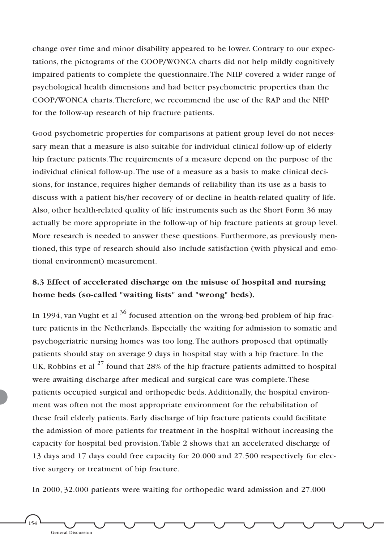change over time and minor disability appeared to be lower. Contrary to our expectations, the pictograms of the COOP/WONCA charts did not help mildly cognitively impaired patients to complete the questionnaire.The NHP covered a wider range of psychological health dimensions and had better psychometric properties than the COOP/WONCA charts.Therefore, we recommend the use of the RAP and the NHP for the follow-up research of hip fracture patients.

Good psychometric properties for comparisons at patient group level do not necessary mean that a measure is also suitable for individual clinical follow-up of elderly hip fracture patients.The requirements of a measure depend on the purpose of the individual clinical follow-up.The use of a measure as a basis to make clinical decisions, for instance, requires higher demands of reliability than its use as a basis to discuss with a patient his/her recovery of or decline in health-related quality of life. Also, other health-related quality of life instruments such as the Short Form 36 may actually be more appropriate in the follow-up of hip fracture patients at group level. More research is needed to answer these questions. Furthermore, as previously mentioned, this type of research should also include satisfaction (with physical and emotional environment) measurement.

# **8.3 Effect of accelerated discharge on the misuse of hospital and nursing home beds (so-called "waiting lists" and "wrong" beds).**

In 1994, van Vught et al  $36$  focused attention on the wrong-bed problem of hip fracture patients in the Netherlands. Especially the waiting for admission to somatic and psychogeriatric nursing homes was too long.The authors proposed that optimally patients should stay on average 9 days in hospital stay with a hip fracture. In the UK, Robbins et al  $27$  found that 28% of the hip fracture patients admitted to hospital were awaiting discharge after medical and surgical care was complete.These patients occupied surgical and orthopedic beds. Additionally, the hospital environment was often not the most appropriate environment for the rehabilitation of these frail elderly patients. Early discharge of hip fracture patients could facilitate the admission of more patients for treatment in the hospital without increasing the capacity for hospital bed provision.Table 2 shows that an accelerated discharge of 13 days and 17 days could free capacity for 20.000 and 27.500 respectively for elective surgery or treatment of hip fracture.

In 2000, 32.000 patients were waiting for orthopedic ward admission and 27.000

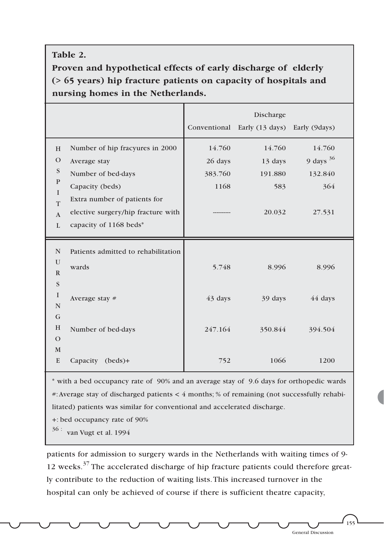### **Table 2.**

**Proven and hypothetical effects of early discharge of elderly (> 65 years) hip fracture patients on capacity of hospitals and nursing homes in the Netherlands.**

|                                                                                   |                                                                                                                                                                                          |                                      | Discharge<br>Conventional Early (13 days) Early (9days) |                                                   |  |
|-----------------------------------------------------------------------------------|------------------------------------------------------------------------------------------------------------------------------------------------------------------------------------------|--------------------------------------|---------------------------------------------------------|---------------------------------------------------|--|
| H<br>$\mathcal{O}$<br>S<br>P<br>$\mathbf{I}$<br>T<br>$\mathbf{A}$<br>$\mathbf{L}$ | Number of hip fracyures in 2000<br>Average stay<br>Number of bed-days<br>Capacity (beds)<br>Extra number of patients for<br>elective surgery/hip fracture with<br>capacity of 1168 beds* | 14.760<br>26 days<br>383.760<br>1168 | 14.760<br>13 days<br>191.880<br>583<br>20.032           | 14.760<br>9 days $36$<br>132.840<br>364<br>27.531 |  |
| N<br>$\mathbf{U}$<br>$\mathbb{R}$<br>S<br>$\bf{I}$<br>N<br>G<br>H                 | Patients admitted to rehabilitation<br>wards<br>Average stay #<br>Number of bed-days                                                                                                     | 5.748<br>43 days<br>247.164          | 8.996<br>39 days<br>350.844                             | 8.996<br>44 days<br>394.504                       |  |
| $\mathbf{O}$<br>M<br>E                                                            | Capacity<br>$(beds) +$                                                                                                                                                                   | 752                                  | 1066                                                    | 1200                                              |  |

\* with a bed occupancy rate of 90% and an average stay of 9.6 days for orthopedic wards #:Average stay of discharged patients < 4 months; % of remaining (not successfully rehabilitated) patients was similar for conventional and accelerated discharge.

+: bed occupancy rate of 90%

36 : van Vugt et al. 1994

patients for admission to surgery wards in the Netherlands with waiting times of 9- 12 weeks.<sup>37</sup> The accelerated discharge of hip fracture patients could therefore greatly contribute to the reduction of waiting lists.This increased turnover in the hospital can only be achieved of course if there is sufficient theatre capacity,

155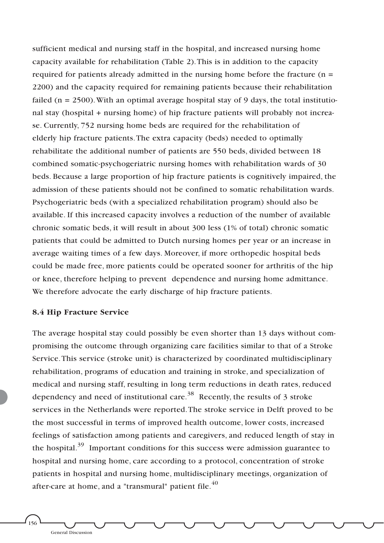sufficient medical and nursing staff in the hospital, and increased nursing home capacity available for rehabilitation (Table 2).This is in addition to the capacity required for patients already admitted in the nursing home before the fracture ( $n =$ 2200) and the capacity required for remaining patients because their rehabilitation failed ( $n = 2500$ ). With an optimal average hospital stay of 9 days, the total institutional stay (hospital + nursing home) of hip fracture patients will probably not increase. Currently, 752 nursing home beds are required for the rehabilitation of elderly hip fracture patients.The extra capacity (beds) needed to optimally rehabilitate the additional number of patients are 550 beds, divided between 18 combined somatic-psychogeriatric nursing homes with rehabilitation wards of 30 beds. Because a large proportion of hip fracture patients is cognitively impaired, the admission of these patients should not be confined to somatic rehabilitation wards. Psychogeriatric beds (with a specialized rehabilitation program) should also be available. If this increased capacity involves a reduction of the number of available chronic somatic beds, it will result in about 300 less (1% of total) chronic somatic patients that could be admitted to Dutch nursing homes per year or an increase in average waiting times of a few days. Moreover, if more orthopedic hospital beds could be made free, more patients could be operated sooner for arthritis of the hip or knee, therefore helping to prevent dependence and nursing home admittance. We therefore advocate the early discharge of hip fracture patients.

#### **8.4 Hip Fracture Service**

The average hospital stay could possibly be even shorter than 13 days without compromising the outcome through organizing care facilities similar to that of a Stroke Service.This service (stroke unit) is characterized by coordinated multidisciplinary rehabilitation, programs of education and training in stroke, and specialization of medical and nursing staff, resulting in long term reductions in death rates, reduced dependency and need of institutional care.<sup>38</sup> Recently, the results of 3 stroke services in the Netherlands were reported.The stroke service in Delft proved to be the most successful in terms of improved health outcome, lower costs, increased feelings of satisfaction among patients and caregivers, and reduced length of stay in the hospital.<sup>39</sup> Important conditions for this success were admission guarantee to hospital and nursing home, care according to a protocol, concentration of stroke patients in hospital and nursing home, multidisciplinary meetings, organization of after-care at home, and a "transmural" patient file. $^{40}$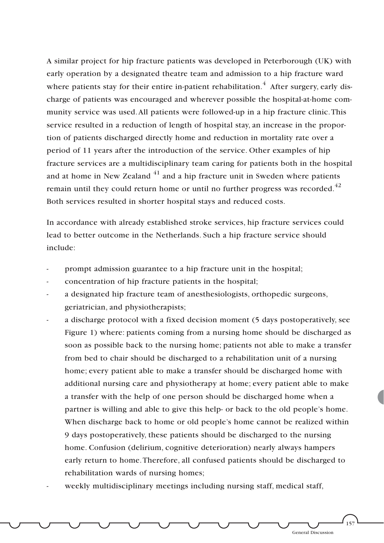A similar project for hip fracture patients was developed in Peterborough (UK) with early operation by a designated theatre team and admission to a hip fracture ward where patients stay for their entire in-patient rehabilitation.<sup>4</sup> After surgery, early discharge of patients was encouraged and wherever possible the hospital-at-home community service was used.All patients were followed-up in a hip fracture clinic.This service resulted in a reduction of length of hospital stay, an increase in the proportion of patients discharged directly home and reduction in mortality rate over a period of 11 years after the introduction of the service. Other examples of hip fracture services are a multidisciplinary team caring for patients both in the hospital and at home in New Zealand  $41$  and a hip fracture unit in Sweden where patients remain until they could return home or until no further progress was recorded.<sup>42</sup> Both services resulted in shorter hospital stays and reduced costs.

In accordance with already established stroke services, hip fracture services could lead to better outcome in the Netherlands. Such a hip fracture service should include:

- prompt admission guarantee to a hip fracture unit in the hospital;
- concentration of hip fracture patients in the hospital;
- a designated hip fracture team of anesthesiologists, orthopedic surgeons, geriatrician, and physiotherapists;
- a discharge protocol with a fixed decision moment (5 days postoperatively, see Figure 1) where: patients coming from a nursing home should be discharged as soon as possible back to the nursing home; patients not able to make a transfer from bed to chair should be discharged to a rehabilitation unit of a nursing home; every patient able to make a transfer should be discharged home with additional nursing care and physiotherapy at home; every patient able to make a transfer with the help of one person should be discharged home when a partner is willing and able to give this help- or back to the old people's home. When discharge back to home or old people's home cannot be realized within 9 days postoperatively, these patients should be discharged to the nursing home. Confusion (delirium, cognitive deterioration) nearly always hampers early return to home.Therefore, all confused patients should be discharged to rehabilitation wards of nursing homes;
	- weekly multidisciplinary meetings including nursing staff, medical staff,

157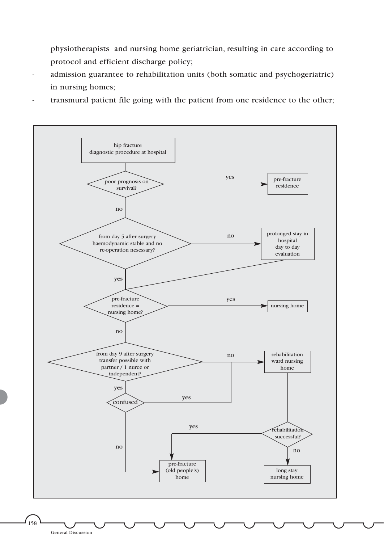physiotherapists and nursing home geriatrician, resulting in care according to protocol and efficient discharge policy;

- admission guarantee to rehabilitation units (both somatic and psychogeriatric) in nursing homes;
- transmural patient file going with the patient from one residence to the other;

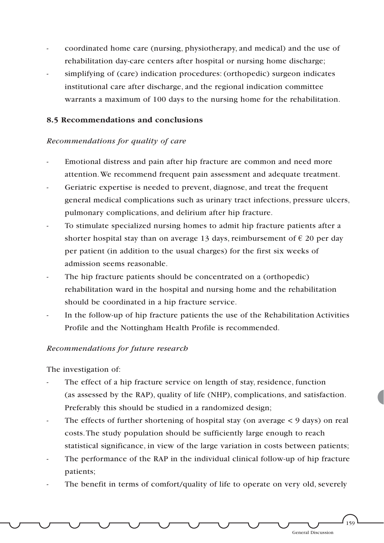- coordinated home care (nursing, physiotherapy, and medical) and the use of rehabilitation day-care centers after hospital or nursing home discharge;
- simplifying of (care) indication procedures: (orthopedic) surgeon indicates institutional care after discharge, and the regional indication committee warrants a maximum of 100 days to the nursing home for the rehabilitation.

### **8.5 Recommendations and conclusions**

### *Recommendations for quality of care*

- Emotional distress and pain after hip fracture are common and need more attention.We recommend frequent pain assessment and adequate treatment.
- Geriatric expertise is needed to prevent, diagnose, and treat the frequent general medical complications such as urinary tract infections, pressure ulcers, pulmonary complications, and delirium after hip fracture.
- To stimulate specialized nursing homes to admit hip fracture patients after a shorter hospital stay than on average 13 days, reimbursement of  $\epsilon$  20 per day per patient (in addition to the usual charges) for the first six weeks of admission seems reasonable.
- The hip fracture patients should be concentrated on a (orthopedic) rehabilitation ward in the hospital and nursing home and the rehabilitation should be coordinated in a hip fracture service.
- In the follow-up of hip fracture patients the use of the Rehabilitation Activities Profile and the Nottingham Health Profile is recommended.

### *Recommendations for future research*

The investigation of:

- The effect of a hip fracture service on length of stay, residence, function (as assessed by the RAP), quality of life (NHP), complications, and satisfaction. Preferably this should be studied in a randomized design;
- The effects of further shortening of hospital stay (on average  $< 9$  days) on real costs.The study population should be sufficiently large enough to reach statistical significance, in view of the large variation in costs between patients;
- The performance of the RAP in the individual clinical follow-up of hip fracture patients;
- The benefit in terms of comfort/quality of life to operate on very old, severely

159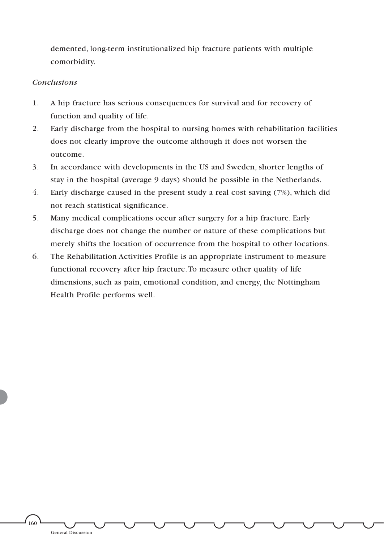demented, long-term institutionalized hip fracture patients with multiple comorbidity.

### *Conclusions*

<sup>1</sup>60

- 1. A hip fracture has serious consequences for survival and for recovery of function and quality of life.
- 2. Early discharge from the hospital to nursing homes with rehabilitation facilities does not clearly improve the outcome although it does not worsen the outcome.
- 3. In accordance with developments in the US and Sweden, shorter lengths of stay in the hospital (average 9 days) should be possible in the Netherlands.
- 4. Early discharge caused in the present study a real cost saving (7%), which did not reach statistical significance.
- 5. Many medical complications occur after surgery for a hip fracture. Early discharge does not change the number or nature of these complications but merely shifts the location of occurrence from the hospital to other locations.
- 6. The Rehabilitation Activities Profile is an appropriate instrument to measure functional recovery after hip fracture.To measure other quality of life dimensions, such as pain, emotional condition, and energy, the Nottingham Health Profile performs well.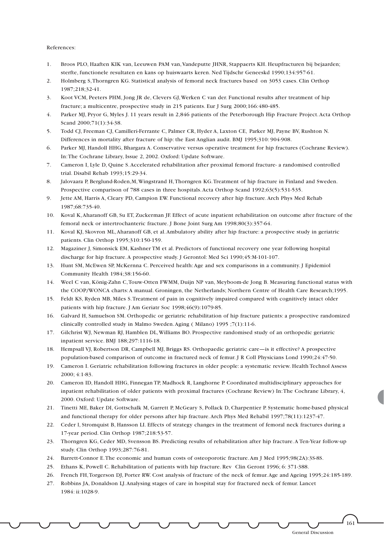#### References:

- 1. Broos PLO, Haaften KIK van, Leeuwen PAM van,Vandeputte JHNR, Stappaerts KH. Heupfracturen bij bejaarden; sterfte, functionele resultaten en kans op huiswaarts keren. Ned Tijdschr Geneeskd 1990;134:957-61.
- 2. Holmberg S,Thorngren KG. Statistical analysis of femoral neck fractures based on 3053 cases. Clin Orthop 1987;218;32-41.
- 3. Koot VCM, Peeters PHM, Jong JR de, Clevers GJ,Werken C van der. Functional results after treatment of hip fracture; a multicentre, prospective study in 215 patients. Eur J Surg 2000;166:480-485.
- 4. Parker MJ, Pryor G, Myles J. 11 years result in 2,846 patients of the Peterborough Hip Fracture Project.Acta Orthop Scand 2000;71(1):34-38.
- 5. Todd CJ, Freeman CJ, Camilleri-Ferrante C, Palmer CR, Hyder A, Laxton CE, Parker MJ, Payne BV, Rushton N. Differences in mortality after fracture of hip: the East Anglian audit. BMJ 1995;310: 904-908.
- 6. Parker MJ, Handoll HHG, Bhargara A. Conservative versus operative treatment for hip fractures (Cochrane Review). In:The Cochrane Library, Issue 2, 2002. Oxford: Update Software.
- 7. Cameron I, Lyle D, Quine S.Accelerated rehabilitation after proximal femoral fracture- a randomised controlled trial. Disabil Rehab 1993;15:29-34.
- 8. Jalovaara P, Berglund-Roden,M,Wingstrand H,Thorngren KG.Treatment of hip fracture in Finland and Sweden. Prospective comparison of 788 cases in three hospitals.Acta Orthop Scand 1992;63(5):531-535.
- 9. Jette AM, Harris A, Cleary PD, Campion EW. Functional recovery after hip fracture.Arch Phys Med Rehab 1987;68:735-40.
- 10. Koval K,Aharanoff GB, Su ET, Zuckerman JF. Effect of acute inpatient rehabilitation on outcome after fracture of the femoral neck or intertrochanteric fracture. J Bone Joint Surg Am 1998;80(3):357-64.
- 11. Koval KJ, Skovron ML,Aharanoff GB, et al.Ambulatory ability after hip fracture: a prospective study in geriatric patients. Clin Orthop 1995;310:150-159.
- 12. Magaziner J, Simonsick EM, Kashner TM et al. Predictors of functional recovery one year following hospital discharge for hip fracture.A prospective study. J Gerontol: Med Sci 1990;45:M-101-107.
- 13. Hunt SM, McEwen SP, McKernna C. Perceived health:Age and sex comparisons in a community. J Epidemiol Community Health 1984;38:156-60.
- 14. Weel C van, König-Zahn C,Touw-Otten FWMM, Duijn NP van, Meyboom-de Jong B. Measuring functional status with the COOP/WONCA charts:A manual. Groningen, the Netherlands; Northern Centre of Health Care Research;1995.
- 15. Feldt KS, Ryden MB, Miles S.Treatment of pain in cognitively impaired compared with cognitively intact older patients with hip fracture. J Am Geriatr Soc 1998;46(9):1079-85.
- 16. Galvard H, Samuelson SM. Orthopedic or geriatric rehabilitation of hip fracture patients: a prospective randomized clinically controlled study in Malmo Sweden.Aging ( Milano) 1995 ;7(1):11-6.
- 17. Gilchrist WJ, Newman RJ, Hamblen DL,Williams BO. Prospective randomised study of an orthopedic geriatric inpatient service. BMJ 188;297:1116-18.
- 18. Hempsall VJ, Robertson DR, Campbell MJ, Briggs RS. Orthopaedic geriatric care—is it effective? A prospective population-based comparison of outcome in fractured neck of femur. J R Coll Physicians Lond 1990;24:47-50.
- 19. Cameron I. Geriatric rehabilitation following fractures in older people: a systematic review. Health Technol Assess 2000; 4:1-83.
- 20. Cameron ID, Handoll HHG, Finnegan TP, Madhock R, Langhorne P. Coordinated multidisciplinary approaches for inpatient rehabilitation of older patients with proximal fractures (Cochrane Review) In:The Cochrane Library, 4, 2000. Oxford: Update Software.
- 21. Tinetti ME, Baker DI, Gottschalk M, Garrett P, McGeary S, Pollack D, Charpentier P. Systematic home-based physical and functional therapy for older persons after hip fracture.Arch Phys Med Rehabil 1997;78(11):1237-47.
- 22. Ceder l, Stromquist B, Hansson LI. Effects of strategy changes in the treatment of femoral neck fractures during a 17-year period. Clin Orthop 1987;218:53-57.
- 23. Thorngren KG, Ceder MD, Svensson BS. Predicting results of rehabilitation after hip fracture.A Ten-Year follow-up study. Clin Orthop 1993;287:76-81.
- 24. Barrett-Connor E.The economic and human costs of osteoporotic fracture.Am J Med 1995;98(2A):3S-8S.
- 25. Ethans K, Powell C. Rehabilitation of patients with hip fracture. Rev Clin Geront 1996; 6: 371-388.
- 26. French FH,Torgerson DJ, Porter RW. Cost analysis of fracture of the neck of femur.Age and Ageing 1995;24:185-189.

161

General Discussion

27. Robbins JA, Donaldson LJ.Analysing stages of care in hospital stay for fractured neck of femur. Lancet 1984: ii:1028-9.